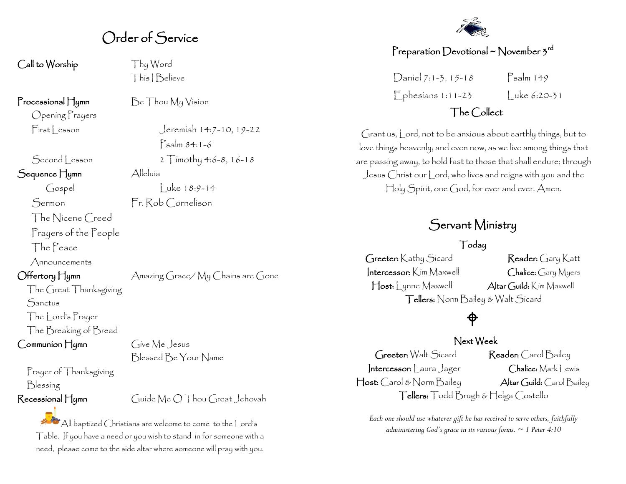# Order of Service

Call to Worship Thy Word

Opening Prayers

Sequence Hymn Alleluía

The Nicene Creed Prayers of the People

The Peace

Announcements

The Great Thanksgiving **Sanctus** The Lord's Prayer The Breaking of Bread Communion Hymn Give Me Jesus

Prayer of Thanksgiving Blessing

This I Believe

**Processional Hymn**  $\qquad$   $\qquad$   $\qquad$   $\qquad$   $\qquad$   $\qquad$   $\qquad$   $\qquad$   $\qquad$   $\qquad$   $\qquad$   $\qquad$   $\qquad$   $\qquad$   $\qquad$   $\qquad$   $\qquad$   $\qquad$   $\qquad$   $\qquad$   $\qquad$   $\qquad$   $\qquad$   $\qquad$   $\qquad$   $\qquad$   $\qquad$   $\qquad$   $\qquad$   $\qquad$   $\qquad$   $\qquad$   $\qquad$   $\q$ 

 $First less on$  Jeremiah  $14:7-10$ ,  $19-22$ Psalm 84:1-6  $Second Lesson$   $2$   $Timothy 4:6-8, 16-18$  $\int \csc(18.9-14)$  Luke 18:9-14

Sermon Fr. Rob Cornelison

Offertory Hymn Amazing Grace/ My Chains are Gone

Blessed Be Your Name

Recessional Hymn Guide Me O Thou Great Jehovah

All baptized Christians are welcome to come to the Lord's Table. If you have a need or you wish to stand in for someone with a need, please come to the side altar where someone will pray with you.



# Preparation Devotional ~ November  $\mathfrak z^{\rm rd}$

 $D$ aniel 7:1-3, 15-18 Psalm 149  $F_{\text{phesians 1:11-23}}$   $\vert$  uke 6:20-31

# The Collect

Grant us, Lord, not to be anxious about earthly things, but to love things heavenly; and even now, as we live among things that are passing away, to hold fast to those that shall endure; through Jesus Christ our Lord, who lives and reigns with you and the Holy Spirit, one God, for ever and ever. Amen.

# Servant Ministry

Today Greeter: Kathy Sicard Reader: Gary Katt Intercessor: Kim Maxwell Chalice: Gary Myers Host: Lynne Maxwell Altar Guild: Kim Maxwell Tellers: Norm Bailey & Walt Sicard

# ⅌

#### Next Week

Greeter: Walt Sicard Reader: Carol Bailey Intercessor: Laura Jager Chalice: Mark Lewis Host: Carol & Norm Bailey Altar Guild: Carol Bailey Tellers: Todd Brugh & Helga Costello

*Each one should use whatever gift he has received to serve others, faithfully administering God's grace in its various forms. ~ 1 Peter 4:10*